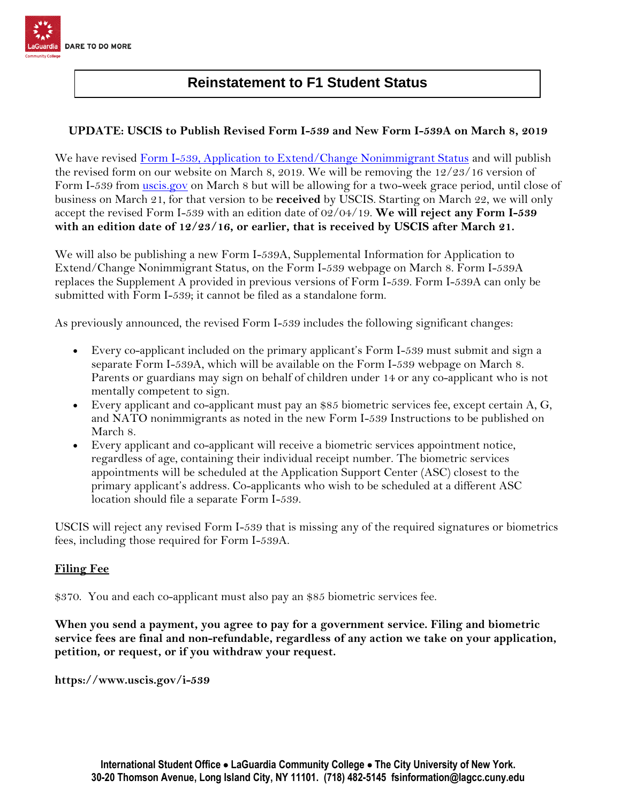

# **Reinstatement to F1 Student Status**

### **UPDATE: USCIS to Publish Revised Form I-539 and New Form I-539A on March 8, 2019**

We have revised [Form I-539, Application to Extend/Change Nonimmigrant Status](https://www.uscis.gov/i-539) and will publish the revised form on our website on March 8, 2019. We will be removing the 12/23/16 version of **[;**Form I-539 from *uscis.gov* on March 8 but will be allowing for a two-week grace period, until close of business on March 21, for that version to be **received** by USCIS. Starting on March 22, we will only accept the revised Form I-539 with an edition date of 02/04/19. **We will reject any Form I-539 with an edition date of 12/23/16, or earlier, that is received by USCIS after March 21.**

We will also be publishing a new Form I-539A, Supplemental Information for Application to Extend/Change Nonimmigrant Status, on the Form I-539 webpage on March 8. Form I-539A replaces the Supplement A provided in previous versions of Form I-539. Form I-539A can only be submitted with Form I-539; it cannot be filed as a standalone form.

As previously announced, the revised Form I-539 includes the following significant changes:

- Every co-applicant included on the primary applicant's Form I-539 must submit and sign a separate Form I-539A, which will be available on the Form I-539 webpage on March 8. Parents or guardians may sign on behalf of children under 14 or any co-applicant who is not mentally competent to sign.
- Every applicant and co-applicant must pay an \$85 biometric services fee, except certain A, G, and NATO nonimmigrants as noted in the new Form I-539 Instructions to be published on March 8.
- Every applicant and co-applicant will receive a biometric services appointment notice, regardless of age, containing their individual receipt number. The biometric services appointments will be scheduled at the Application Support Center (ASC) closest to the primary applicant's address. Co-applicants who wish to be scheduled at a different ASC location should file a separate Form I-539.

USCIS will reject any revised Form I-539 that is missing any of the required signatures or biometrics fees, including those required for Form I-539A.

#### **Filing Fee**

\$370. You and each co-applicant must also pay an \$85 biometric services fee.

**When you send a payment, you agree to pay for a government service. Filing and biometric service fees are final and non-refundable, regardless of any action we take on your application, petition, or request, or if you withdraw your request.**

**https://www.uscis.gov/i-539**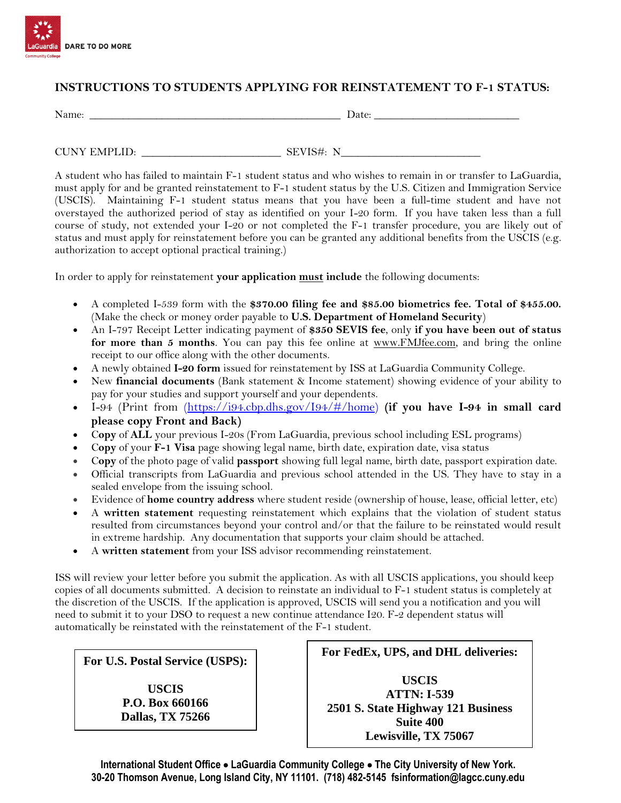

#### **INSTRUCTIONS TO STUDENTS APPLYING FOR REINSTATEMENT TO F-1 STATUS:**

| Name:               | Date:     |  |
|---------------------|-----------|--|
|                     |           |  |
| <b>CUNY EMPLID:</b> | SEVIS#: N |  |

A student who has failed to maintain F-1 student status and who wishes to remain in or transfer to LaGuardia, must apply for and be granted reinstatement to F-1 student status by the U.S. Citizen and Immigration Service (USCIS). Maintaining F-1 student status means that you have been a full-time student and have not overstayed the authorized period of stay as identified on your I-20 form. If you have taken less than a full course of study, not extended your I-20 or not completed the F-1 transfer procedure, you are likely out of status and must apply for reinstatement before you can be granted any additional benefits from the USCIS (e.g. authorization to accept optional practical training.)

In order to apply for reinstatement **your application must include** the following documents:

- A completed I-539 form with the **\$370.00 filing fee and \$85.00 biometrics fee. Total of \$455.00.** (Make the check or money order payable to **U.S. Department of Homeland Security**)
- An I-797 Receipt Letter indicating payment of **\$350 SEVIS fee**, only **if you have been out of status for more than 5 months**. You can pay this fee online at [www.FMJfee.com,](http://www.fmjfee.com/) and bring the online receipt to our office along with the other documents.
- A newly obtained **I-20 form** issued for reinstatement by ISS at LaGuardia Community College.
- New **financial documents** (Bank statement & Income statement) showing evidence of your ability to pay for your studies and support yourself and your dependents.
- I-94 (Print from [\(https://i94.cbp.dhs.gov/I94/#/home\)](https://i94.cbp.dhs.gov/I94/#/home) **(if you have I-94 in small card please copy Front and Back)**
- C**opy** of **ALL** your previous I-20s (From LaGuardia, previous school including ESL programs)
- C**opy** of your **F-1 Visa** page showing legal name, birth date, expiration date, visa status
- C**opy** of the photo page of valid **passport** showing full legal name, birth date, passport expiration date.
- Official transcripts from LaGuardia and previous school attended in the US. They have to stay in a sealed envelope from the issuing school.
- Evidence of **home country address** where student reside (ownership of house, lease, official letter, etc)
- A **written statement** requesting reinstatement which explains that the violation of student status resulted from circumstances beyond your control and/or that the failure to be reinstated would result in extreme hardship. Any documentation that supports your claim should be attached.
- A **written statement** from your ISS advisor recommending reinstatement.

ISS will review your letter before you submit the application. As with all USCIS applications, you should keep copies of all documents submitted. A decision to reinstate an individual to F-1 student status is completely at the discretion of the USCIS. If the application is approved, USCIS will send you a notification and you will need to submit it to your DSO to request a new continue attendance I20. F-2 dependent status will automatically be reinstated with the reinstatement of the F-1 student.

**For U.S. Postal Service (USPS):** 

**USCIS P.O. Box 660166 Dallas, TX 75266** **For FedEx, UPS, and DHL deliveries: USCIS ATTN: I-539 2501 S. State Highway 121 Business Suite 400 Lewisville, TX 75067**

**International Student Office LaGuardia Community College The City University of New York. 30-20 Thomson Avenue, Long Island City, NY 11101. (718) 482-5145 fsinformation@lagcc.cuny.edu**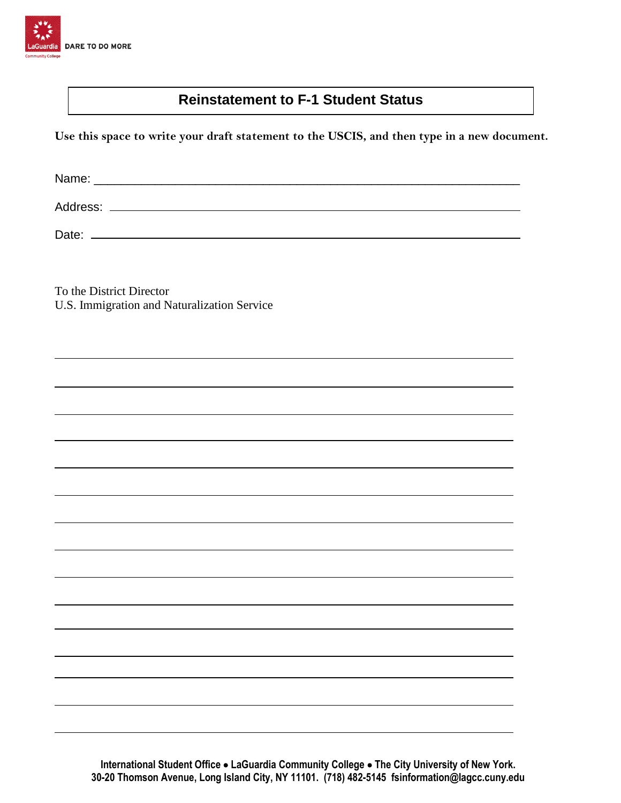

## **Reinstatement to F-1 Student Status**

Use this space to write your draft statement to the USCIS, and then type in a new document.

Name:

Address:

Date:

To the District Director U.S. Immigration and Naturalization Service

> **International Student Office LaGuardia Community College The City University of New York. 30-20 Thomson Avenue, Long Island City, NY 11101. (718) 482-5145 fsinformation@lagcc.cuny.edu**